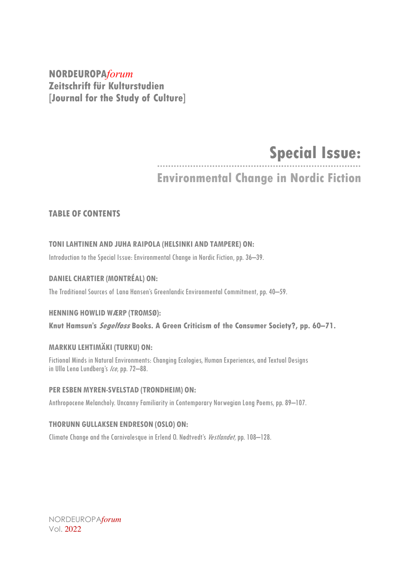**NORDEUROPA***forum* **Zeitschrift für Kulturstudien [Journal for the Study of Culture]**

## **Special Issue:**

### **Environmental Change in Nordic Fiction**

#### **TABLE OF CONTENTS**

#### **TONILAHTINEN AND JUHA RAIPOLA (HELSINKI AND TAMPERE) ON:**

Introduction to the Special Issue: Environmental Change in Nordic Fiction, pp. 36–39.

#### **DANIEL CHARTIER (MONTRÉAL) ON:**

The Traditional Sources of Lana Hansen's Greenlandic Environmental Commitment, pp. 40–59.

#### **HENNING HOWLID WÆRP (TROMSØ):**

**Knut Hamsun's Segelfoss Books. A Green Criticism of the Consumer Society?, pp. 60–71.**

#### **MARKKU LEHTIMÄKI (TURKU) ON:**

Fictional Minds in Natural Environments: Changing Ecologies, Human Experiences, and Textual Designs in Ulla Lena Lundberg's Ice, pp. 72-88.

#### **PER ESBEN MYREN-SVELSTAD (TRONDHEIM) ON:**

Anthropocene Melancholy. Uncanny Familiarity in Contemporary Norwegian Long Poems, pp. 89-107.

#### **THORUNN GULLAKSEN ENDRESON (OSLO) ON:**

Climate Change and the Carnivalesque in Erlend O. Nødtvedt's Vestlandet, pp. 108-128.

NORDEUROPA*forum* Vol. 2022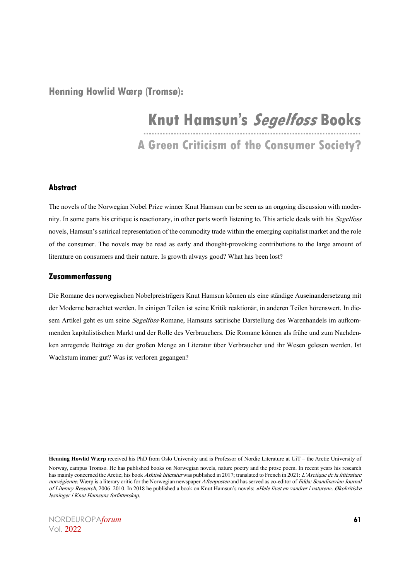**Henning Howlid Wærp (Tromsø):**

# **Knut Hamsun's Segelfoss Books**

**A Green Criticism of the Consumer Society?**

#### **Abstract**

The novels of the Norwegian Nobel Prize winner Knut Hamsun can be seen as an ongoing discussion with modernity. In some parts his critique is reactionary, in other parts worth listening to. This article deals with his Segelfoss novels, Hamsun's satirical representation of the commodity trade within the emerging capitalist market and the role of the consumer. The novels may be read as early and thought-provoking contributions to the large amount of literature on consumers and their nature. Is growth always good? What has been lost?

#### **Zusammenfassung**

Die Romane des norwegischen Nobelpreisträgers Knut Hamsun können als eine ständige Auseinandersetzung mit der Moderne betrachtet werden. In einigen Teilen ist seine Kritik reaktionär, in anderen Teilen hörenswert. In diesem Artikel geht es um seine Segelfoss-Romane, Hamsuns satirische Darstellung des Warenhandels im aufkommenden kapitalistischen Markt und der Rolle des Verbrauchers. Die Romane können als frühe und zum Nachdenken anregende Beiträge zu der großen Menge an Literatur über Verbraucher und ihr Wesen gelesen werden. Ist Wachstum immer gut? Was ist verloren gegangen?

NORDEUROPA*forum* **61** Vol. 2022

**Henning Howlid Wærp** received his PhD from Oslo University and is Professor of Nordic Literature at UiT – the Arctic University of

Norway, campus Tromsø. He has published books on Norwegian novels, nature poetry and the prose poem. In recent years his research has mainly concerned the Arctic; his book Arktisk litteratur was published in 2017; translated to French in 2021: L'Arctique de la littérature norvégienne. Wærp is a literary critic for the Norwegian newspaper Aftenposten and has served as co-editor of Edda: Scandinavian Journal of Literary Research, 2006–2010. In 2018 he published a book on Knut Hamsun's novels: »Hele livet en vandrer i naturen«. Økokritiske lesninger i Knut Hamsuns forfatterskap.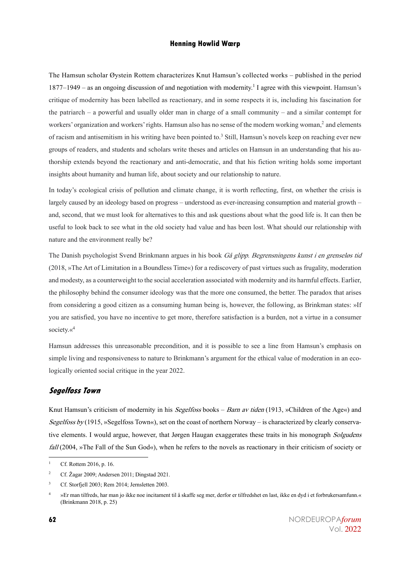The Hamsun scholar Øystein Rottem characterizes Knut Hamsun's collected works – published in the period  $1877-1949$  – as an ongoing discussion of and negotiation with modernity.<sup>1</sup> I agree with this viewpoint. Hamsun's critique of modernity has been labelled as reactionary, and in some respects it is, including his fascination for the patriarch – a powerful and usually older man in charge of a small community – and a similar contempt for workers' organization and workers' rights. Hamsun also has no sense of the modern working woman,<sup>2</sup> and elements of racism and antisemitism in his writing have been pointed to.<sup>3</sup> Still, Hamsun's novels keep on reaching ever new groups of readers, and students and scholars write theses and articles on Hamsun in an understanding that his authorship extends beyond the reactionary and anti-democratic, and that his fiction writing holds some important insights about humanity and human life, about society and our relationship to nature.

In today's ecological crisis of pollution and climate change, it is worth reflecting, first, on whether the crisis is largely caused by an ideology based on progress – understood as ever-increasing consumption and material growth – and, second, that we must look for alternatives to this and ask questions about what the good life is. It can then be useful to look back to see what in the old society had value and has been lost. What should our relationship with nature and the environment really be?

The Danish psychologist Svend Brinkmann argues in his book Gå glipp. Begrensningens kunst i en grenseløs tid (2018, »The Art of Limitation in a Boundless Time«) for a rediscovery of past virtues such as frugality, moderation and modesty, as a counterweight to the social acceleration associated with modernity and its harmful effects. Earlier, the philosophy behind the consumer ideology was that the more one consumed, the better. The paradox that arises from considering a good citizen as a consuming human being is, however, the following, as Brinkman states: »If you are satisfied, you have no incentive to get more, therefore satisfaction is a burden, not a virtue in a consumer society.«4

Hamsun addresses this unreasonable precondition, and it is possible to see a line from Hamsun's emphasis on simple living and responsiveness to nature to Brinkmann's argument for the ethical value of moderation in an ecologically oriented social critique in the year 2022.

#### **Segelfoss Town**

Knut Hamsun's criticism of modernity in his Segelfoss books – Barn av tiden (1913, »Children of the Age«) and Segelfoss by (1915, »Segelfoss Town«), set on the coast of northern Norway – is characterized by clearly conservative elements. I would argue, however, that Jørgen Haugan exaggerates these traits in his monograph Solgudens fall (2004, »The Fall of the Sun God«), when he refers to the novels as reactionary in their criticism of society or

Cf. Rottem 2016, p. 16.

<sup>2</sup> Cf. Žagar 2009; Andersen 2011; Dingstad 2021.

<sup>&</sup>lt;sup>3</sup> Cf. Storfjell 2003; Rem 2014; Jernsletten 2003.

<sup>4</sup> »Er man tilfreds, har man jo ikke noe incitament til å skaffe seg mer, derfor er tilfredshet en last, ikke en dyd i et forbrukersamfunn.« (Brinkmann 2018, p. 25)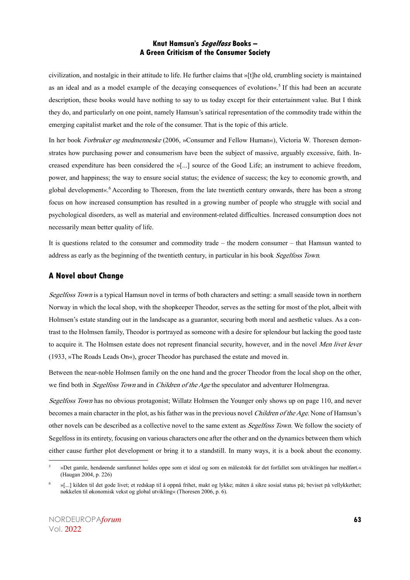civilization, and nostalgic in their attitude to life. He further claims that »[t]he old, crumbling society is maintained as an ideal and as a model example of the decaying consequences of evolution«. <sup>5</sup> If this had been an accurate description, these books would have nothing to say to us today except for their entertainment value. But I think they do, and particularly on one point, namely Hamsun's satirical representation of the commodity trade within the emerging capitalist market and the role of the consumer. That is the topic of this article.

In her book Forbruker og medmenneske (2006, »Consumer and Fellow Human«), Victoria W. Thoresen demonstrates how purchasing power and consumerism have been the subject of massive, arguably excessive, faith. Increased expenditure has been considered the »[...] source of the Good Life; an instrument to achieve freedom, power, and happiness; the way to ensure social status; the evidence of success; the key to economic growth, and global development«. <sup>6</sup> According to Thoresen, from the late twentieth century onwards, there has been a strong focus on how increased consumption has resulted in a growing number of people who struggle with social and psychological disorders, as well as material and environment-related difficulties. Increased consumption does not necessarily mean better quality of life.

It is questions related to the consumer and commodity trade – the modern consumer – that Hamsun wanted to address as early as the beginning of the twentieth century, in particular in his book Segelfoss Town.

#### **A Novel about Change**

Segelfoss Town is a typical Hamsun novel in terms of both characters and setting: a small seaside town in northern Norway in which the local shop, with the shopkeeper Theodor, serves as the setting for most of the plot, albeit with Holmsen's estate standing out in the landscape as a guarantor, securing both moral and aesthetic values. As a contrast to the Holmsen family, Theodor is portrayed as someone with a desire for splendour but lacking the good taste to acquire it. The Holmsen estate does not represent financial security, however, and in the novel Men livet lever (1933, »The Roads Leads On«), grocer Theodor has purchased the estate and moved in.

Between the near-noble Holmsen family on the one hand and the grocer Theodor from the local shop on the other, we find both in *Segelfoss Town* and in *Children of the Age* the speculator and adventurer Holmengraa.

Segelfoss Town has no obvious protagonist; Willatz Holmsen the Younger only shows up on page 110, and never becomes a main character in the plot, as his father was in the previous novel Children of the Age. None of Hamsun's other novels can be described as a collective novel to the same extent as *Segelfoss Town*. We follow the society of Segelfoss in its entirety, focusing on various characters one after the other and on the dynamics between them which either cause further plot development or bring it to a standstill. In many ways, it is a book about the economy.

<sup>5</sup> »Det gamle, hendøende samfunnet holdes oppe som et ideal og som en målestokk for det forfallet som utviklingen har medført.« (Haugan 2004, p. 226)

<sup>6</sup> »[...] kilden til det gode livet; et redskap til å oppnå frihet, makt og lykke; måten å sikre sosial status på; beviset på vellykkethet; nøkkelen til økonomisk vekst og global utvikling« (Thoresen 2006, p. 6).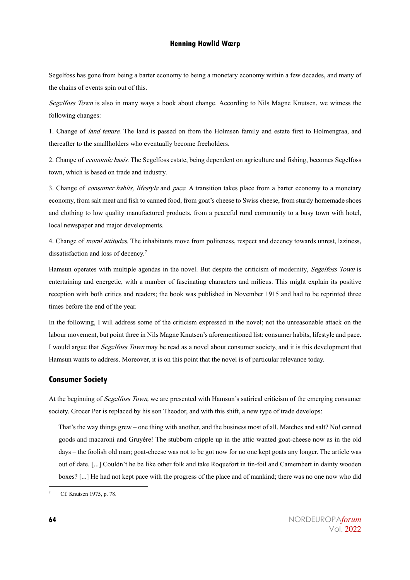Segelfoss has gone from being a barter economy to being a monetary economy within a few decades, and many of the chains of events spin out of this.

Segelfoss Town is also in many ways a book about change. According to Nils Magne Knutsen, we witness the following changes:

1. Change of land tenure. The land is passed on from the Holmsen family and estate first to Holmengraa, and thereafter to the smallholders who eventually become freeholders.

2. Change of economic basis. The Segelfoss estate, being dependent on agriculture and fishing, becomes Segelfoss town, which is based on trade and industry.

3. Change of *consumer habits, lifestyle* and *pace*. A transition takes place from a barter economy to a monetary economy, from salt meat and fish to canned food, from goat's cheese to Swiss cheese, from sturdy homemade shoes and clothing to low quality manufactured products, from a peaceful rural community to a busy town with hotel, local newspaper and major developments.

4. Change of moral attitudes. The inhabitants move from politeness, respect and decency towards unrest, laziness, dissatisfaction and loss of decency.<sup>7</sup>

Hamsun operates with multiple agendas in the novel. But despite the criticism of modernity, Segelfoss Town is entertaining and energetic, with a number of fascinating characters and milieus. This might explain its positive reception with both critics and readers; the book was published in November 1915 and had to be reprinted three times before the end of the year.

In the following, I will address some of the criticism expressed in the novel; not the unreasonable attack on the labour movement, but point three in Nils Magne Knutsen's aforementioned list: consumer habits, lifestyle and pace. I would argue that Segelfoss Town may be read as a novel about consumer society, and it is this development that Hamsun wants to address. Moreover, it is on this point that the novel is of particular relevance today.

#### **Consumer Society**

At the beginning of *Segelfoss Town*, we are presented with Hamsun's satirical criticism of the emerging consumer society. Grocer Per is replaced by his son Theodor, and with this shift, a new type of trade develops:

That's the way things grew – one thing with another, and the business most of all. Matches and salt? No! canned goods and macaroni and Gruyère! The stubborn cripple up in the attic wanted goat-cheese now as in the old days – the foolish old man; goat-cheese was not to be got now for no one kept goats any longer. The article was out of date. [...] Couldn't he be like other folk and take Roquefort in tin-foil and Camembert in dainty wooden boxes? [...] He had not kept pace with the progress of the place and of mankind; there was no one now who did

Cf. Knutsen 1975, p. 78.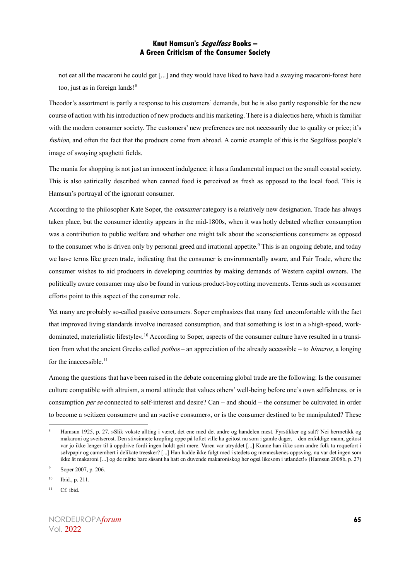not eat all the macaroni he could get [...] and they would have liked to have had a swaying macaroni-forest here too, just as in foreign lands! 8

Theodor's assortment is partly a response to his customers' demands, but he is also partly responsible for the new course of action with his introduction of new products and his marketing. There is a dialectics here, which is familiar with the modern consumer society. The customers' new preferences are not necessarily due to quality or price; it's fashion, and often the fact that the products come from abroad. A comic example of this is the Segelfoss people's image of swaying spaghetti fields.

The mania for shopping is not just an innocent indulgence; it has a fundamental impact on the small coastal society. This is also satirically described when canned food is perceived as fresh as opposed to the local food. This is Hamsun's portrayal of the ignorant consumer.

According to the philosopher Kate Soper, the *consumer* category is a relatively new designation. Trade has always taken place, but the consumer identity appears in the mid-1800s, when it was hotly debated whether consumption was a contribution to public welfare and whether one might talk about the »conscientious consumer« as opposed to the consumer who is driven only by personal greed and irrational appetite.<sup>9</sup> This is an ongoing debate, and today we have terms like green trade, indicating that the consumer is environmentally aware, and Fair Trade, where the consumer wishes to aid producers in developing countries by making demands of Western capital owners. The politically aware consumer may also be found in various product-boycotting movements. Terms such as »consumer effort« point to this aspect of the consumer role.

Yet many are probably so-called passive consumers. Soper emphasizes that many feel uncomfortable with the fact that improved living standards involve increased consumption, and that something is lost in a »high-speed, workdominated, materialistic lifestyle«. <sup>10</sup> According to Soper, aspects of the consumer culture have resulted in a transition from what the ancient Greeks called *pothos* – an appreciation of the already accessible – to *himeros*, a longing for the inaccessible.<sup>11</sup>

Among the questions that have been raised in the debate concerning global trade are the following: Is the consumer culture compatible with altruism, a moral attitude that values others' well-being before one's own selfishness, or is consumption *per se* connected to self-interest and desire? Can – and should – the consumer be cultivated in order to become a »citizen consumer« and an »active consumer«, or is the consumer destined to be manipulated? These

<sup>8</sup> Hamsun 1925, p. 27. »Slik vokste allting i været, det ene med det andre og handelen mest. Fyrstikker og salt? Nei hermetikk og makaroni og sveitserost. Den stivsinnete krøpling oppe på loftet ville ha geitost nu som i gamle dager, – den enfoldige mann, geitost var jo ikke lenger til å oppdrive fordi ingen holdt geit mere. Varen var utryddet [...] Kunne han ikke som andre folk ta roquefort i sølvpapir og camembert i delikate treesker? [...] Han hadde ikke fulgt med i stedets og menneskenes oppsving, nu var det ingen som ikke åt makaroni [...] og de måtte bare såsant ha hatt en duvende makaroniskog her også likesom i utlandet!« (Hamsun 2008b, p. 27)

<sup>9</sup> Soper 2007, p. 206.

 $10$  Ibid., p. 211.

 $11$  Cf. ibid.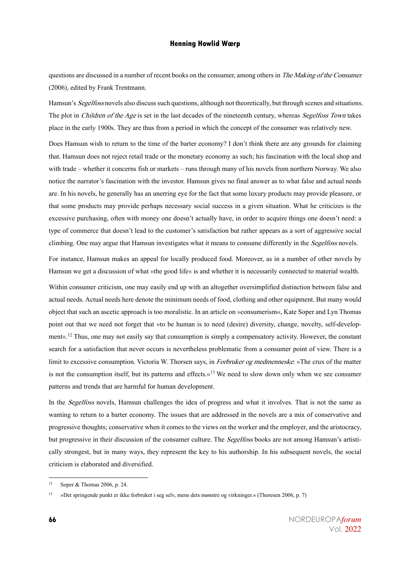questions are discussed in a number of recent books on the consumer, among others in *The Making of the Consumer* (2006), edited by Frank Trentmann.

Hamsun's Segelfoss novels also discuss such questions, although not theoretically, but through scenes and situations. The plot in *Children of the Age* is set in the last decades of the nineteenth century, whereas *Segelfoss Town* takes place in the early 1900s. They are thus from a period in which the concept of the consumer was relatively new.

Does Hamsun wish to return to the time of the barter economy? I don't think there are any grounds for claiming that. Hamsun does not reject retail trade or the monetary economy as such; his fascination with the local shop and with trade – whether it concerns fish or markets – runs through many of his novels from northern Norway. We also notice the narrator's fascination with the investor. Hamsun gives no final answer as to what false and actual needs are. In his novels, he generally has an unerring eye for the fact that some luxury products may provide pleasure, or that some products may provide perhaps necessary social success in a given situation. What he criticizes is the excessive purchasing, often with money one doesn't actually have, in order to acquire things one doesn't need: a type of commerce that doesn't lead to the customer's satisfaction but rather appears as a sort of aggressive social climbing. One may argue that Hamsun investigates what it means to consume differently in the *Segelfoss* novels.

For instance, Hamsun makes an appeal for locally produced food. Moreover, as in a number of other novels by Hamsun we get a discussion of what »the good life« is and whether it is necessarily connected to material wealth.

Within consumer criticism, one may easily end up with an altogether oversimplified distinction between false and actual needs. Actual needs here denote the minimum needs of food, clothing and other equipment. But many would object that such an ascetic approach is too moralistic. In an article on »consumerism«, Kate Soper and Lyn Thomas point out that we need not forget that »to be human is to need (desire) diversity, change, novelty, self-development«.<sup>12</sup> Thus, one may not easily say that consumption is simply a compensatory activity. However, the constant search for a satisfaction that never occurs is nevertheless problematic from a consumer point of view. There is a limit to excessive consumption. Victoria W. Thorsen says, in *Forbruker og medmenneske*: »The crux of the matter is not the consumption itself, but its patterns and effects. $\alpha^{13}$  We need to slow down only when we see consumer patterns and trends that are harmful for human development.

In the *Segelfoss* novels, Hamsun challenges the idea of progress and what it involves. That is not the same as wanting to return to a barter economy. The issues that are addressed in the novels are a mix of conservative and progressive thoughts; conservative when it comes to the views on the worker and the employer, and the aristocracy, but progressive in their discussion of the consumer culture. The Segelfoss books are not among Hamsun's artistically strongest, but in many ways, they represent the key to his authorship. In his subsequent novels, the social criticism is elaborated and diversified.

<sup>&</sup>lt;sup>12</sup> Soper & Thomas 2006, p. 24.

<sup>13</sup> »Det springende punkt er ikke forbruket i seg selv, mens dets mønstre og virkninger.« (Thoresen 2006, p. 7)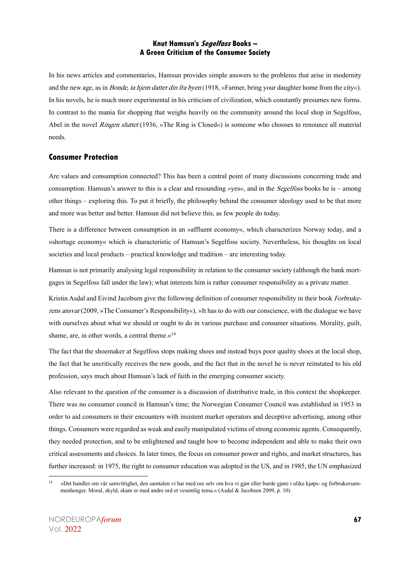In his news articles and commentaries, Hamsun provides simple answers to the problems that arise in modernity and the new age, as in *Bonde, ta hjem datter din fra byen* (1918, »Farmer, bring your daughter home from the city«). In his novels, he is much more experimental in his criticism of civilization, which constantly presumes new forms. In contrast to the mania for shopping that weighs heavily on the community around the local shop in Segelfoss, Abel in the novel Ringen sluttet (1936, »The Ring is Closed«) is someone who chooses to renounce all material needs.

#### **Consumer Protection**

Are values and consumption connected? This has been a central point of many discussions concerning trade and consumption. Hamsun's answer to this is a clear and resounding »yes«, and in the Segelfoss books he is – among other things – exploring this. To put it briefly, the philosophy behind the consumer ideology used to be that more and more was better and better. Hamsun did not believe this, as few people do today.

There is a difference between consumption in an »affluent economy«, which characterizes Norway today, and a »shortage economy« which is characteristic of Hamsun's Segelfoss society. Nevertheless, his thoughts on local societies and local products – practical knowledge and tradition – are interesting today.

Hamsun is not primarily analysing legal responsibility in relation to the consumer society (although the bank mortgages in Segelfoss fall under the law); what interests him is rather consumer responsibility as a private matter.

Kristin Asdal and Eivind Jacobsen give the following definition of consumer responsibility in their book Forbrukerens ansvar (2009, »The Consumer's Responsibility«). »It has to do with our conscience, with the dialogue we have with ourselves about what we should or ought to do in various purchase and consumer situations. Morality, guilt, shame, are, in other words, a central theme.«<sup>14</sup>

The fact that the shoemaker at Segelfoss stops making shoes and instead buys poor quality shoes at the local shop, the fact that he uncritically receives the new goods, and the fact that in the novel he is never reinstated to his old profession, says much about Hamsun's lack of faith in the emerging consumer society.

Also relevant to the question of the consumer is a discussion of distributive trade, in this context the shopkeeper. There was no consumer council in Hamsun's time; the Norwegian Consumer Council was established in 1953 in order to aid consumers in their encounters with insistent market operators and deceptive advertising, among other things. Consumers were regarded as weak and easily manipulated victims of strong economic agents. Consequently, they needed protection, and to be enlightened and taught how to become independent and able to make their own critical assessments and choices. In later times, the focus on consumer power and rights, and market structures, has further increased: in 1975, the right to consumer education was adopted in the US, and in 1985, the UN emphasized

<sup>&</sup>lt;sup>14</sup> »Det handler om vår samvittighet, den samtalen vi har med oss selv om hva vi gjør eller burde gjøre i ulike kjøps- og forbrukersammenhenger. Moral, skyld, skam er med andre ord et vesentlig tema.« (Asdal & Jacobsen 2009, p. 10)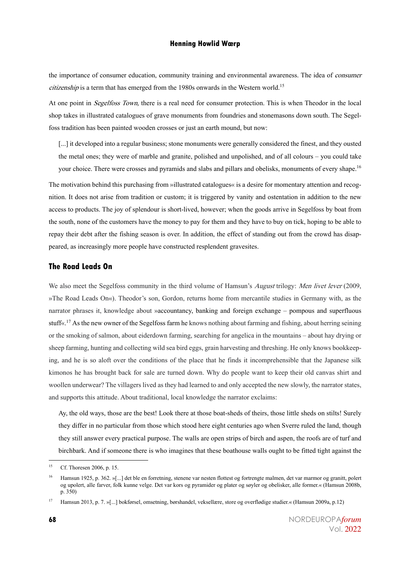the importance of consumer education, community training and environmental awareness. The idea of *consumer* citizenship is a term that has emerged from the 1980s onwards in the Western world.<sup>15</sup>

At one point in *Segelfoss Town*, there is a real need for consumer protection. This is when Theodor in the local shop takes in illustrated catalogues of grave monuments from foundries and stonemasons down south. The Segelfoss tradition has been painted wooden crosses or just an earth mound, but now:

[...] it developed into a regular business; stone monuments were generally considered the finest, and they ousted the metal ones; they were of marble and granite, polished and unpolished, and of all colours – you could take your choice. There were crosses and pyramids and slabs and pillars and obelisks, monuments of every shape.<sup>16</sup>

The motivation behind this purchasing from »illustrated catalogues« is a desire for momentary attention and recognition. It does not arise from tradition or custom; it is triggered by vanity and ostentation in addition to the new access to products. The joy of splendour is short-lived, however; when the goods arrive in Segelfoss by boat from the south, none of the customers have the money to pay for them and they have to buy on tick, hoping to be able to repay their debt after the fishing season is over. In addition, the effect of standing out from the crowd has disappeared, as increasingly more people have constructed resplendent gravesites.

#### **The Road Leads On**

We also meet the Segelfoss community in the third volume of Hamsun's August trilogy: Men livet lever (2009, »The Road Leads On«). Theodor's son, Gordon, returns home from mercantile studies in Germany with, as the narrator phrases it, knowledge about »accountancy, banking and foreign exchange – pompous and superfluous stuff«. <sup>17</sup> As the new owner of the Segelfoss farm he knows nothing about farming and fishing, about herring seining or the smoking of salmon, about eiderdown farming, searching for angelica in the mountains – about hay drying or sheep farming, hunting and collecting wild sea bird eggs, grain harvesting and threshing. He only knows bookkeeping, and he is so aloft over the conditions of the place that he finds it incomprehensible that the Japanese silk kimonos he has brought back for sale are turned down. Why do people want to keep their old canvas shirt and woollen underwear? The villagers lived as they had learned to and only accepted the new slowly, the narrator states, and supports this attitude. About traditional, local knowledge the narrator exclaims:

Ay, the old ways, those are the best! Look there at those boat-sheds of theirs, those little sheds on stilts! Surely they differ in no particular from those which stood here eight centuries ago when Sverre ruled the land, though they still answer every practical purpose. The walls are open strips of birch and aspen, the roofs are of turf and birchbark. And if someone there is who imagines that these boathouse walls ought to be fitted tight against the

<sup>15</sup> Cf. Thoresen 2006, p. 15.

<sup>&</sup>lt;sup>16</sup> Hamsun 1925, p. 362. »[...] det ble en forretning, stenene var nesten flottest og fortrengte malmen, det var marmor og granitt, polert og upolert, alle farver, folk kunne velge. Det var kors og pyramider og plater og søyler og obelisker, alle former.« (Hamsun 2008b, p. 350)

<sup>17</sup> Hamsun 2013, p. 7. »[...] bokførsel, omsetning, børshandel, veksellære, store og overflødige studier.« (Hamsun 2009a, p.12)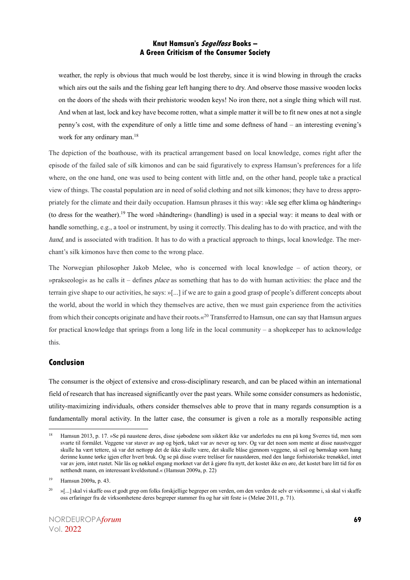weather, the reply is obvious that much would be lost thereby, since it is wind blowing in through the cracks which airs out the sails and the fishing gear left hanging there to dry. And observe those massive wooden locks on the doors of the sheds with their prehistoric wooden keys! No iron there, not a single thing which will rust. And when at last, lock and key have become rotten, what a simple matter it will be to fit new ones at not a single penny's cost, with the expenditure of only a little time and some deftness of hand – an interesting evening's work for any ordinary man.<sup>18</sup>

The depiction of the boathouse, with its practical arrangement based on local knowledge, comes right after the episode of the failed sale of silk kimonos and can be said figuratively to express Hamsun's preferences for a life where, on the one hand, one was used to being content with little and, on the other hand, people take a practical view of things. The coastal population are in need of solid clothing and not silk kimonos; they have to dress appropriately for the climate and their daily occupation. Hamsun phrases it this way: »kle seg efter klima og håndtering« (to dress for the weather).<sup>19</sup> The word »håndtering« (handling) is used in a special way: it means to deal with or handle something, e.g., a tool or instrument, by using it correctly. This dealing has to do with practice, and with the hand, and is associated with tradition. It has to do with a practical approach to things, local knowledge. The merchant's silk kimonos have then come to the wrong place.

The Norwegian philosopher Jakob Meløe, who is concerned with local knowledge – of action theory, or »prakseologi« as he calls it – defines *place* as something that has to do with human activities: the place and the terrain give shape to our activities, he says: »[...] if we are to gain a good grasp of people's different concepts about the world, about the world in which they themselves are active, then we must gain experience from the activities from which their concepts originate and have their roots.«<sup>20</sup> Transferred to Hamsun, one can say that Hamsun argues for practical knowledge that springs from a long life in the local community – a shopkeeper has to acknowledge this.

#### **Conclusion**

The consumer is the object of extensive and cross-disciplinary research, and can be placed within an international field of research that has increased significantly over the past years. While some consider consumers as hedonistic, utility-maximizing individuals, others consider themselves able to prove that in many regards consumption is a fundamentally moral activity. In the latter case, the consumer is given a role as a morally responsible acting

<sup>&</sup>lt;sup>18</sup> Hamsun 2013, p. 17. »Se på naustene deres, disse sjøbodene som sikkert ikke var anderledes nu enn på kong Sverres tid, men som svarte til formålet. Veggene var staver av asp og bjerk, taket var av never og torv. Og var det noen som mente at disse naustvegger skulle ha vært tettere, så var det nettopp det de ikke skulle være, det skulle blåse gjennom veggene, så seil og børnskap som hang derinne kunne tørke igjen efter hvert bruk. Og se på disse svære trelåser for naustdøren, med den lange forhistoriske trenøkkel, intet var av jern, intet rustet. Når lås og nøkkel engang morknet var det å gjøre fra nytt, det kostet ikke en øre, det kostet barelitt tid for en netthendt mann, en interessant kveldsstund.« (Hamsun 2009a, p. 22)

<sup>19</sup> Hamsun 2009a, p. 43.

<sup>&</sup>lt;sup>20</sup> »[...] skal vi skaffe oss et godt grep om folks forskjellige begreper om verden, om den verden de selv er virksomme i, så skal vi skaffe oss erfaringer fra de virksomhetene deres begreper stammer fra og har sitt feste i« (Meløe 2011, p. 71).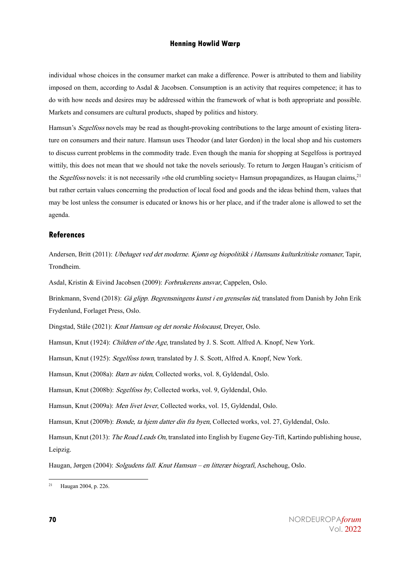individual whose choices in the consumer market can make a difference. Power is attributed to them and liability imposed on them, according to Asdal & Jacobsen. Consumption is an activity that requires competence; it has to do with how needs and desires may be addressed within the framework of what is both appropriate and possible. Markets and consumers are cultural products, shaped by politics and history.

Hamsun's *Segelfoss* novels may be read as thought-provoking contributions to the large amount of existing literature on consumers and their nature. Hamsun uses Theodor (and later Gordon) in the local shop and his customers to discuss current problems in the commodity trade. Even though the mania for shopping at Segelfoss is portrayed wittily, this does not mean that we should not take the novels seriously. To return to Jørgen Haugan's criticism of the Segelfoss novels: it is not necessarily »the old crumbling society« Hamsun propagandizes, as Haugan claims, $^{21}$ but rather certain values concerning the production of local food and goods and the ideas behind them, values that may be lost unless the consumer is educated or knows his or her place, and if the trader alone is allowed to set the agenda.

#### **References**

Andersen, Britt (2011): *Ubehaget ved det moderne. Kjønn og biopolitikk i Hamsuns kulturkritiske romaner*, Tapir, Trondheim.

Asdal, Kristin & Eivind Jacobsen (2009): Forbrukerens ansvar, Cappelen, Oslo.

Brinkmann, Svend (2018): Gå glipp. Begrensningens kunst i en grenseløs tid, translated from Danish by John Erik Frydenlund, Forlaget Press, Oslo.

Dingstad, Ståle (2021): Knut Hamsun og det norske Holocaust, Dreyer, Oslo.

Hamsun, Knut (1924): Children of the Age, translated by J. S. Scott. Alfred A. Knopf, New York.

Hamsun, Knut (1925): Segelfoss town, translated by J. S. Scott, Alfred A. Knopf, New York.

Hamsun, Knut (2008a): Barn av tiden, Collected works, vol. 8, Gyldendal, Oslo.

Hamsun, Knut (2008b): Segelfoss by, Collected works, vol. 9, Gyldendal, Oslo.

Hamsun, Knut (2009a): Men livet lever, Collected works, vol. 15, Gyldendal, Oslo.

Hamsun, Knut (2009b): *Bonde, ta hjem datter din fra byen*, Collected works, vol. 27, Gyldendal, Oslo.

Hamsun, Knut (2013): The Road Leads On, translated into English by Eugene Gey-Tift, Kartindo publishing house, Leipzig.

Haugan, Jørgen (2004): Solgudens fall. Knut Hamsun – en litterær biografi, Aschehoug, Oslo.

<sup>21</sup> Haugan 2004, p. 226.